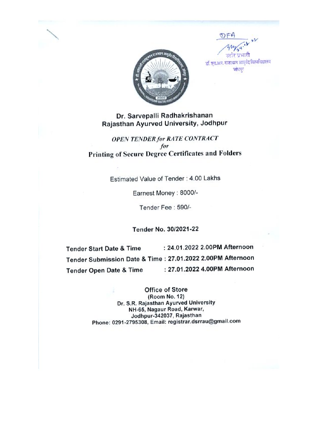



डॉ. एय.आर. राजस्थान आयुर्वेद विश्वविद्यालय जोधपर

Dr. Sarvepalli Radhakrishanan Rajasthan Ayurved University, Jodhpur

**OPEN TENDER for RATE CONTRACT** for **Printing of Secure Degree Certificates and Folders** 

Estimated Value of Tender: 4.00 Lakhs

Earnest Money : 8000/-

Tender Fee: 590/-

Tender No. 30/2021-22

: 24.01.2022 2.00PM Afternoon **Tender Start Date & Time** Tender Submission Date & Time: 27.01.2022 2.00PM Afternoon : 27.01.2022 4.00PM Afternoon **Tender Open Date & Time** 

> Office of Store (Room No. 12) Dr. S.R. Rajasthan Ayurved University NH-65, Nagaur Road, Karwar, Jodhpur-342037, Rajasthan Phone: 0291-2795308, Email: registrar.dsrrau@gmail.com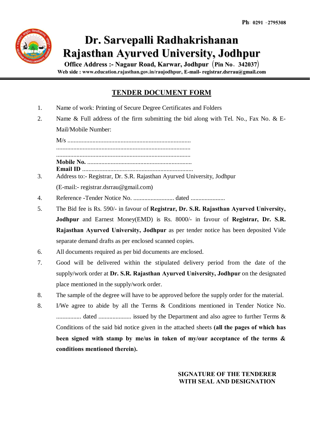

# **Dr. Sarvepalli Radhakrishanan Rajasthan Ayurved University, Jodhpur**

**Office Address :- Nagaur Road, Karwar, Jodhpur** ¼**Pin No**- **342037**½ **Web side : www.education.rajasthan.gov.in/raujodhpur, E-mail- registrar.dsrrau@gmail.com**

# **TENDER DOCUMENT FORM**

- 1. Name of work: Printing of Secure Degree Certificates and Folders
- 2. Name & Full address of the firm submitting the bid along with Tel. No., Fax No. & E-Mail/Mobile Number:

M/s ............................................................................... ...................................................................................... ...................................................................................... **Mobile No.** ................................................................... **Email ID** ....................................................................... 3. Address to:- Registrar, Dr. S.R. Rajasthan Ayurved University, Jodhpur

- (E-mail:- registrar.dsrrau@gmail.com)
- 4. Reference -Tender Notice No. .......................... dated ......................
- 5. The Bid fee is Rs. 590/- in favour of **Registrar, Dr. S.R. Rajasthan Ayurved University, Jodhpur** and Earnest Money(EMD) is Rs. 8000/- in favour of **Registrar, Dr. S.R. Rajasthan Ayurved University, Jodhpur** as per tender notice has been deposited Vide separate demand drafts as per enclosed scanned copies.
- 6. All documents required as per bid documents are enclosed.
- 7. Good will be delivered within the stipulated delivery period from the date of the supply/work order at **Dr. S.R. Rajasthan Ayurved University, Jodhpur** on the designated place mentioned in the supply/work order.
- 8. The sample of the degree will have to be approved before the supply order for the material.
- 8. I/We agree to abide by all the Terms & Conditions mentioned in Tender Notice No. ................ dated ..................... issued by the Department and also agree to further Terms & Conditions of the said bid notice given in the attached sheets **(all the pages of which has been signed with stamp by me/us in token of my/our acceptance of the terms & conditions mentioned therein).**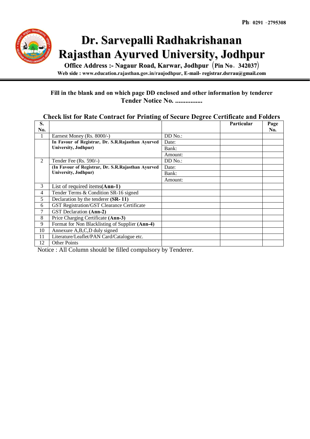

# **Dr. Sarvepalli Radhakrishanan Rajasthan Ayurved University, Jodhpur**

**Office Address :- Nagaur Road, Karwar, Jodhpur** ¼**Pin No**- **342037**½ **Web side : www.education.rajasthan.gov.in/raujodhpur, E-mail- registrar.dsrrau@gmail.com**

## **Fill in the blank and on which page DD enclosed and other information by tenderer Tender Notice No. ................**

## **Check list for Rate Contract for Printing of Secure Degree Certificate and Folders**

| S.  |                                                    |           | Particular | Page |
|-----|----------------------------------------------------|-----------|------------|------|
| No. |                                                    |           |            | No.  |
| 1   | Earnest Money (Rs. 8000/-)                         | DD No.:   |            |      |
|     | In Favour of Registrar, Dr. S.R.Rajasthan Ayurved  | Date:     |            |      |
|     | University, Jodhpur)                               | Bank:     |            |      |
|     |                                                    | Amount:   |            |      |
| 2   | Tender Fee $(Rs. 590/-)$                           | $DD$ No.: |            |      |
|     | (In Favour of Registrar, Dr. S.R.Rajasthan Ayurved | Date:     |            |      |
|     | University, Jodhpur)                               | Bank:     |            |      |
|     |                                                    | Amount:   |            |      |
| 3   | List of required items $(Ann-1)$                   |           |            |      |
| 4   | Tender Terms & Condition SR-16 signed              |           |            |      |
| 5   | Declaration by the tenderer (SR-11)                |           |            |      |
| 6   | GST Registration/GST Clearance Certificate         |           |            |      |
| 7   | GST Declaration (Ann-2)                            |           |            |      |
| 8   | Price Charging Certificate (Ann-3)                 |           |            |      |
| 9   | Format for Non Blacklisting of Supplier (Ann-4)    |           |            |      |
| 10  | Annexure A,B,C,D duly signed                       |           |            |      |
| 11  | Literature/Leaflet/PAN Card/Catalogue etc.         |           |            |      |
| 12  | <b>Other Points</b>                                |           |            |      |

Notice : All Column should be filled compulsory by Tenderer.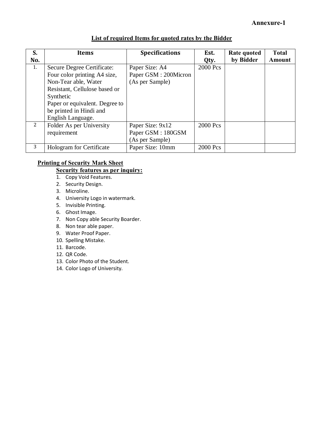|  |  |  |  | List of required Items for quoted rates by the Bidder |
|--|--|--|--|-------------------------------------------------------|
|  |  |  |  |                                                       |

| S.  | <b>Items</b>                    | <b>Specifications</b> | Est.     | Rate quoted | <b>Total</b>  |
|-----|---------------------------------|-----------------------|----------|-------------|---------------|
| No. |                                 |                       | Qty.     | by Bidder   | <b>Amount</b> |
| 1.  | Secure Degree Certificate:      | Paper Size: A4        | 2000 Pcs |             |               |
|     | Four color printing A4 size,    | Paper GSM : 200Micron |          |             |               |
|     | Non-Tear able, Water            | (As per Sample)       |          |             |               |
|     | Resistant, Cellulose based or   |                       |          |             |               |
|     | Synthetic                       |                       |          |             |               |
|     | Paper or equivalent. Degree to  |                       |          |             |               |
|     | be printed in Hindi and         |                       |          |             |               |
|     | English Language.               |                       |          |             |               |
| 2   | Folder As per University        | Paper Size: 9x12      | 2000 Pcs |             |               |
|     | requirement                     | Paper GSM: 180GSM     |          |             |               |
|     |                                 | (As per Sample)       |          |             |               |
| 3   | <b>Hologram</b> for Certificate | Paper Size: 10mm      | 2000 Pcs |             |               |

# **Printing of Security Mark Sheet**

# **Security features as per inquiry:**

- 1. Copy Void Features.
- 2. Security Design.
- 3. Microline.
- 4. University Logo in watermark.
- 5. Invisible Printing.
- 6. Ghost Image.
- 7. Non Copy able Security Boarder.
- 8. Non tear able paper.
- 9. Water Proof Paper.
- 10. Spelling Mistake.
- 11. Barcode.
- 12. QR Code.
- 13. Color Photo of the Student.
- 14. Color Logo of University.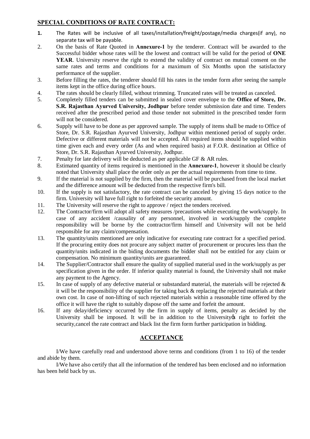#### **SPECIAL CONDITIONS OF RATE CONTRACT:**

- **1.** The Rates will be inclusive of all taxes/installation/freight/postage/media charges(if any), no separate tax will be payable.
- 2. On the basis of Rate Quoted in **Annexure-1** by the tenderer. Contract will be awarded to the Successful bidder whose rates will be the lowest and contract will be valid for the period of **ONE YEAR**. University reserve the right to extend the validity of contract on mutual consent on the same rates and terms and conditions for a maximum of Six Months upon the satisfactory performance of the supplier.
- 3. Before filling the rates, the tenderer should fill his rates in the tender form after seeing the sample items kept in the office during office hours.
- 4. The rates should be clearly filled, without trimming. Truncated rates will be treated as canceled.
- 5. Completely filled tenders can be submitted in sealed cover envelope to the **Office of Store, Dr. S.R. Rajasthan Ayurved University, Jodhpur** before tender submission date and time. Tenders received after the prescribed period and those tender not submitted in the prescribed tender form will not be considered.
- 6. Supply will have to be done as per approved sample. The supply of items shall be made to Office of Store, Dr. S.R. Rajasthan Ayurved University, Jodhpur within mentioned period of supply order. Defective or different materials will not be accepted. All required items should be supplied within time given each and every order (As and when required basis) at F.O.R. destination at Office of Store, Dr. S.R. Rajasthan Ayurved University, Jodhpur.
- 7. Penalty for late delivery will be deducted as per applicable GF & AR rules.
- 8. Estimated quantity of items required is mentioned in the **Annexure-1**, however it should be clearly noted that University shall place the order only as per the actual requirements from time to time.
- 9. If the material is not supplied by the firm, then the material will be purchased from the local market and the difference amount will be deducted from the respective firm's bill.
- 10. If the supply is not satisfactory, the rate contract can be canceled by giving 15 days notice to the firm. University will have full right to forfeited the security amount.
- 11. The University will reserve the right to approve / reject the tenders received.
- 12. The Contractor/firm will adopt all safety measures /precautions while executing the work/supply. In case of any accident /causality of any personnel, involved in work/supply the complete responsibility will be borne by the contractor/firm himself and University will not be held responsible for any claim/compensation.
- 13. The quantity/units mentioned are only indicative for executing rate contract for a specified period. If the procuring entity does not procure any subject matter of procurement or procures less than the quantity/units indicated in the biding documents the bidder shall not be entitled for any claim or compensation. No minimum quantity/units are guaranteed.
- 14. The Supplier/Contractor shall ensure the quality of supplied material used in the work/supply as per specification given in the order. If inferior quality material is found, the University shall not make any payment to the Agency.
- 15. In case of supply of any defective material or substandard material, the materials will be rejected  $\&$ it will be the responsibility of the supplier for taking back  $\&$  replacing the rejected materials at their own cost. In case of non-lifting of such rejected materials within a reasonable time offered by the office it will have the right to suitably dispose off the same and forfeit the amount.
- 16. If any delay/deficiency occurred by the firm in supply of items, penalty as decided by the University shall be imposed. It will be in addition to the University of right to forfeit the security,cancel the rate contract and black list the firm form further participation in bidding.

#### **ACCEPTANCE**

I/We have carefully read and understood above terms and conditions (from 1 to 16) of the tender and abide by them.

I/We have also certify that all the information of the tendered has been enclosed and no information has been held back by us.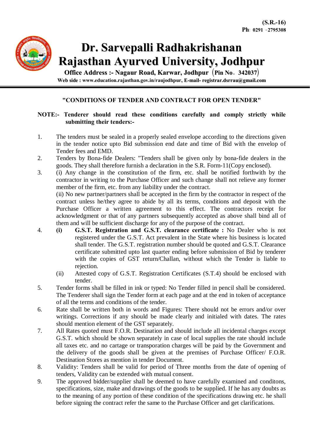

# **Dr. Sarvepalli Radhakrishanan Rajasthan Ayurved University, Jodhpur**

**Office Address :- Nagaur Road, Karwar, Jodhpur** ¼**Pin No**- **342037**½ **Web side : www.education.rajasthan.gov.in/raujodhpur, E-mail- registrar.dsrrau@gmail.com**

#### **"CONDITIONS OF TENDER AND CONTRACT FOR OPEN TENDER"**

#### **NOTE:- Tenderer should read these conditions carefully and comply strictly while submitting their tenders:-**

- 1. The tenders must be sealed in a properly sealed envelope according to the directions given in the tender notice upto Bid submission end date and time of Bid with the envelop of Tender fees and EMD.
- 2. Tenders by Bona-fide Dealers: "Tenders shall be given only by bona-fide dealers in the goods. They shall therefore furnish a declaration in the S.R. Form-11(Copy enclosed).
- 3. (i) Any change in the constitution of the firm, etc. shall be notified forthwith by the contractor in writing to the Purchase Officer and such change shall not relieve any former member of the firm, etc. from any liability under the contract.

(ii) No new partner/partners shall be accepted in the firm by the contractor in respect of the contract unless he/they agree to abide by all its terms, conditions and deposit with the Purchase Officer a written agreement to this effect. The contractors receipt for acknowledgment or that of any partners subsequently accepted as above shall bind all of them and will be sufficient discharge for any of the purpose of the contract.

- 4. **(i) G.S.T. Registration and G.S.T. clearance certificate :** No Dealer who is not registered under the G.S.T. Act prevalent in the State where his business is located shall tender. The G.S.T. registration number should be quoted and G.S.T. Clearance certificate submitted upto last quarter ending before submission of Bid by tenderer with the copies of GST return/Challan, without which the Tender is liable to rejection.
	- (ii) Attested copy of G.S.T. Registration Certificates (S.T.4) should be enclosed with tender.
- 5. Tender forms shall be filled in ink or typed: No Tender filled in pencil shall be considered. The Tenderer shall sign the Tender form at each page and at the end in token of acceptance of all the terms and conditions of the tender.
- 6. Rate shall be written both in words and Figures: There should not be errors and/or over writings. Corrections if any should be made clearly and initialed with dates. The rates should mention element of the GST separately.
- 7. All Rates quoted must F.O.R. Destination and should include all incidental charges except G.S.T. which should be shown separately in case of local supplies the rate should include all taxes etc. and no cartage or transporation charges will be paid by the Government and the delivery of the goods shall be given at the premises of Purchase Officer/ F.O.R. Destination Stores as mention in tender Document.
- 8. Validity: Tenders shall be valid for period of Three months from the date of opening of tenders, Validity can be extended with mutual consent.
- 9. The approved bidder/supplier shall be deemed to have carefully examined and conditons, specifications, size, make and drawings of the goods to be supplied. If he has any doubts as to the meaning of any portion of these condition of the specifications drawing etc. he shall before signing the contract refer the same to the Purchase Officer and get clarifications.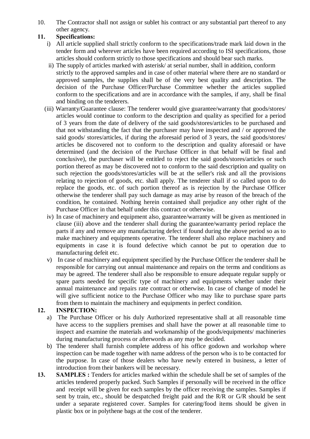10. The Contractor shall not assign or sublet his contract or any substantial part thereof to any other agency.

## **11. Specifications:**

- i) All article supplied shall strictly conform to the specifications/trade mark laid down in the tender form and wherever articles have been required according to ISI specifications, those articles should conform strictly to those specifications and should bear such marks.
- ii) The supply of articles marked with asterisk/ at serial number, shall in addition, conform strictly to the approved samples and in case of other material where there are no standard or approved samples, the supplies shall be of the very best quality and description. The decision of the Purchase Officer/Purchase Committee whether the articles supplied conform to the specifications and are in accordance with the samples, if any, shall be final and binding on the tenderers.
- (iii) Warranty/Guarantee clause: The tenderer would give guarantee/warranty that goods/stores/ articles would continue to conform to the description and quality as specified for a period of 3 years from the date of delivery of the said goods/stores/articles to be purchased and that not withstanding the fact that the purchaser may have inspected and / or approved the said goods/ stores/articles, if during the aforesaid period of 3 years, the said goods/stores/ articles be discovered not to conform to the description and quality aforesaid or have determined (and the decision of the Purchase Officer in that behalf will be final and conclusive), the purchaser will be entitled to reject the said goods/stores/articles or such portion thereof as may be discovered not to conform to the said description and quality on such rejection the goods/stores/articles will be at the seller's risk and all the provisions relating to rejection of goods, etc. shall apply. The tenderer shall if so called upon to do replace the goods, etc. of such portion thereof as is rejection by the Purchase Officer otherwise the tenderer shall pay such damage as may arise by reason of the breach of the condition, he contained. Nothing herein contained shall prejudice any other right of the Purchase Officer in that behalf under this contract or otherwise.
- iv) In case of machinery and equipment also, guarantee/warranty will be given as mentioned in clause (iii) above and the tenderer shall during the guarantee/warranty period replace the parts if any and remove any manufacturing defect if found during the above period so as to make machinery and equipments operative. The tenderer shall also replace machinery and equipments in case it is found defective which cannot be put to operation due to manufacturing defeit etc.
- v) In case of machinery and equipment specified by the Purchase Officer the tenderer shall be responsible for carrying out annual maintenance and repairs on the terms and conditions as may be agreed. The tenderer shall also be responsible to ensure adequate regular supply or spare parts needed for specific type of machinery and equipments whether under their annual maintenance and repairs rate contract or otherwise. In case of change of model he will give sufficient notice to the Purchase Officer who may like to purchase spare parts from them to maintain the machinery and equipments in perfect condition.

## **12. INSPECTION:**

- a) The Purchase Officer or his duly Authorized representative shall at all reasonable time have access to the suppliers premises and shall have the power at all reasonable time to inspect and examine the materials and workmanship of the goods/equipments/ machineries during manufacturing process or afterwords as any may be decided.
- b) The tenderer shall furnish complete address of his office godown and workshop where inspection can be made together with name address of the person who is to be contacted for the purpose. In case of those dealers who have newly entered in business, a letter of introduction from their bankers will be necessary.
- **13. SAMPLES :** Tenders for articles marked within the schedule shall be set of samples of the articles tendered properly packed. Such Samples if personally will be received in the office and receipt will be given for each samples by the officer receiving the samples. Samples if sent by train, etc., should be despatched freight paid and the R/R or G/R should be sent under a separate registered cover. Samples for catering/food items should be given in plastic box or in polythene bags at the cost of the tenderer.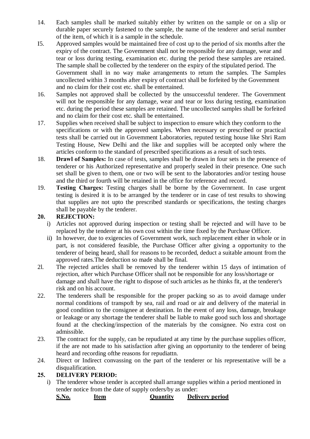- 14. Each samples shall be marked suitably either by written on the sample or on a slip or durable paper securely fastened to the sample, the name of the tenderer and serial number of the item, of which it is a sample in the schedule.
- I5. Approved samples would be maintained free of cost up to the period of six months after the expiry of the contract. The Govemment shall not be responsible for any damage, wear and tear or loss during testing, examination etc. during the period these samples are retained. The sample shall be collected by the tenderer on the expiry of the stipulated period. The Government shall in no way make arrangements to retum the samples. The Samples uncollected within 3 months after expiry of contract shall be forfeited by the Govemment and no claim for their cost etc. shall be entertained.
- 16. Samples not approved shall be collected by the unsuccessful tenderer. The Government will not be responsible for any damage, wear and tear or loss during testing, examination etc. during the period these samples are retained. The uncollected samples shall be forfeited and no claim for their cost etc. shall be entertained.
- 17. Supplies when received shall be subject to inspection to ensure which they conform to the specifications or with the approved samples. When necessary or prescribed or practical tests shall be carried out in Govemment Laboratories, reputed testing house like Shri Ram Testing House, New Delhi and the like and supplies will be accepted only where the articles conform to the standard of prescribed specifications as a result of such tests.
- 18. **Drawl of Samples:** In case of tests, samples shall be drawn in four sets in the presence of tenderer or his Authorized representative and properly sealed in their presence. One such set shall be given to them, one or two will be sent to the laboratories and/or testing house and the third or fourth will be retained in the office for reference and record.
- 19. **Testing Charges:** Testing charges shall be borne by the Governrnent. In case urgent testing is desired it is to be arranged by the tenderer or in case of test results to showing that supplies are not upto the prescribed standards or specifications, the testing charges shall be payable by the tenderer.

## **20. REJECTION:**

- i) Articles not approved during inspection or testing shall be rejected and will have to be replaced by the tenderer at his own cost within the time fixed by the Purchase Officer.
- ii) In however, due to exigencies of Government work, such replacement either in whole or in part, is not considered feasible, the Purchase Officer after giving a opportunity to the tenderer of being heard, shall for reasons to be recorded, deduct a suitable amount from the approved rates.The deduction so made shall be final.
- 2l. The rejected articles shall be removed by the tenderer within 15 days of intimation of rejection, after which Purchase Officer shall not be responsible for any loss/shortage or damage and shall have the right to dispose of such articles as he thinks fit, at the tenderer's risk and on his account.
- 22. The tenderers shall be responsible for the proper packing so as to avoid damage under normal conditions of transpoft by sea, rail and road or air and delivery of the material in good condition to the consignee at destination. In the event of any loss, damage, breakage or Ieakage or any shortage the tenderer shall be liable to make good such loss and shortage found at the checking/inspection of the materials by the consignee. No extra cost on admissible.
- 23. The contract for the supply, can be repudiated at any time by the purchase supplies officer, if the are not made to his satisfaction after giving an opportunity to the tenderer of being heard and recording ofthe reasons for repudiattn.
- 24. Direct or Indirect convassing on the part of the tenderer or his representative will be a disqualification.

#### **25. DELIVERY PERIOD:**

i) The tenderer whose tender is accepted shall arrange supplies within a period mentioned in tender notice from the date of supply orders/by as under:

**S.No. Item Quantity Delivery period**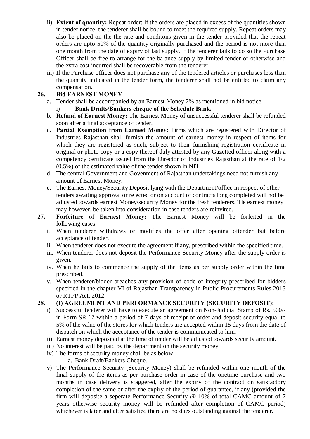- ii) **Extent of quantity:** Repeat order: If the orders are placed in excess of the quantities shown in tender notice, the tenderer shall be bound to meet the required supply. Repeat orders may also be placed on the the rate and conditons given in the tender provided that the repeat orders are upto 50% of the quantity originally purchased and the period is not more than one month from the date of expiry of last supply. If the tenderer fails to do so the Purchase Officer shall be free to arrange for the balance supply by limited tender or otherwise and the extra cost incurred shall be recoverable from the tenderer.
- iii) If the Purchase officer does-not purchase any of the tendered articles or purchases less than the quantity indicated in the tender form, the tenderer shall not be entitled to claim any compensation.

## **26. Bid EARNEST MONEY**

- a. Tender shall be accompanied by an Earnest Money 2% as mentioned in bid notice.
	- i) **Bank Drafts/Bankers cheque of the Schedule Bank.**
- b. **Refund of Earnest Money:** The Earnest Money of unsuccessful tenderer shall be refunded soon after a final acceptance of tender.
- c. **Partial Exemption from Earnest Money:** Firms which are registered with Director of Industries Rajasthan shall furnish the amount of earnest money in respect of items for which they are registered as such, subject to their furnishing registration certificate in original or photo copy or a copy thereof duly attested by any Gazetted officer along with a competency certificate issued from the Director of Industries Rajasthan at the rate of 1/2 (0.5%) of the estimated value of the tender shown in NIT.
- d. The central Government and Govenment of Rajasthan undertakings need not furnish any amount of Earnest Money.
- e. The Earnest Money/Security Deposit lying with the Department/office in respect of other tenders awaiting approval or rejected or on account of contracts long completed will not be adjusted towards earnest Money/security Money for the fresh tenderers. Tle earnest money may however, be taken into consideration in case tenders are reinvited.
- **27. Forfeiture of Earnest Money:** The Earnest Money will be forfeited in the following cases:
	- i. When tenderer withdraws or modifies the offer after opening oftender but before acceptance of tender.
	- ii. When tenderer does not execute the agreement if any, prescribed within the specified time.
	- iii. When tenderer does not deposit the Performance Security Money after the supply order is given.
	- iv. When he fails to commence the supply of the items as per supply order within the time prescribed.
	- v. When tenderer/bidder breaches any provision of code of integrity prescribed for bidders specified in the chapter VI of Rajasthan Transparency in Public Procurements Rules 2013 or RTPP Act, 2012.

## **28. (I) AGREEMENT AND PERFORMANCE SECURITY (SECURITY DEPOSIT):**

- i) Successful tenderer will have to execute an agreement on Non-Judicial Stamp of Rs. 500/ in Form SR-17 within a period of 7 days of receipt of order and deposit security equal to 5% of the value of the stores for which tenders are accepted within 15 days from the date of dispatch on which the acceptance of the tender is communicated to him.
- ii) Earnest money deposited at the time of tender will be adjusted towards security amount.
- iii) No interest will be paid by the department on the security money.
- iv) The forms of security money shall be as below:
	- a. Bank Draft/Bankers Cheque.
- v) The Performance Security (Security Money) shall be refunded within one month of the final supply of the items as per purchase order in case of the onetime purchase and two months in case delivery is staggered, after the expiry of the contract on satisfactory completion of the same or after the expiry of the period of guarantee, if any (provided the firm will deposite a seperate Performance Security @ 10% of total CAMC amount of 7 years otherwise security money will be refunded after completion of CAMC period) whichever is later and after satisfied there are no dues outstanding against the tenderer.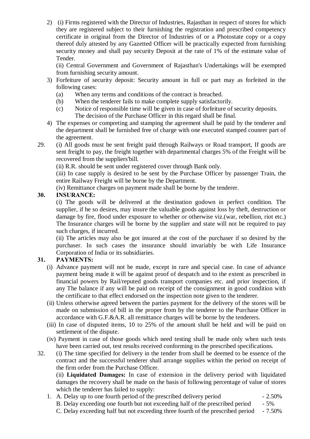2) (i) Firms registered with the Director of Industries, Rajasthan in respect of stores for which they are registered subject to their furnishing the registration and prescribed competency certificate in original from the Director of Industries of or a Photostate copy or a copy thereof duly attested by any Gazetted Officer will be practically expected from furnishing security money and shall pay security Deposit at the rate of 1% of the estimate value of Tender.

(ii) Central Government and Government of Rajasthan's Undertakings will be exempted from furnishing security amount.

- 3) Forfeiture of security deposit: Security amount in full or part may as forfeited in the following cases:
	- (a) When any terms and conditions of the contract is breached.
	- (b) When the tenderer fails to make complete supply satisfactorily.
	- (c) Notice of responsible time will be given in case of forfeiture of security deposits. The decision of the Purchase Officer in this regard shall be final.
- 4) The expenses or compreting and stamping the agreement shall be paid by the tenderer and the department shall be furnished free of charge with one executed stamped counrer part of the agreement.
- 29. (i) All goods must be sent freight paid through Railways or Road transport, If goods are sent freight to pay, the freight together with departmental charges 5% of the Freight will be recovered from the suppliers'bill.

(ii) R.R. should be sent under registered cover through Bank only.

(iii) In case supply is desired to be sent by the Purchase Officer by passenger Train, the entire Railway Freight will be borne by the Department.

(iv) Remittance charges on payment made shall be borne by the tenderer.

#### **30. INSURANCE:**

(i) The goods will be delivered at the destination godown in perfect condition. The supplier, if he so desires, may insure the valuable goods against loss by theft, destruction or damage by fire, flood under exposure to whether or otherwise viz.(war, rebellion, riot etc.) The Insurance charges will be borne by the supplier and state will not be required to pay such charges, if incurred.

(ii) The articles may also be got insured at the cost of the purchaser if so desired by the purchaser. In such cases the insurance should invariably be with Life Insurance Corporation of India or its subsidiaries.

## **31. PAYMENTS:**

- (i) Advance payment will not be made, except in rare and special case. In case of advance payment being made it will be against proof of despatch and to the extent as prescribed in financial powers by Rail/reputed goods transport companies etc. and prior inspection, if any The balance if any will be paid on receipt of the consignment in good condition with the certificate to that effect endorsed on the inspection note given to the tenderer.
- (ii) Unless otherwise agreed between the parties payment for the delivery of the stores will be made on submission of bill in the proper from by the tenderer to the Purchase Officer in accordance with G.F.&A.R. all remittance charges will be borne by the tenderers.
- (iii) In case of disputed items, 10 to 25% of the amount shall be held and will be paid on settlement of the dispute.
- (iv) Payment in case of those goods which need testing shall be made only when such tests have been carried out, test results received conforming to the prescribed specifications.
- 32. (i) The time specified for delivery in the tender from shall be deemed to be essence of the contract and the successful tenderer shall arrange supplies within the period on receipt of the firm order from the Purchase Officer.

(ii) **Liquidated Damages:** In case of extension in the delivery period with liquidated damages the recovery shall be made on the basis of following percentage of value of stores which the tenderer has failed to supply:

1. A. Delay up to one fourth period of the prescribed delivery period - 2.50%

B. Delay exceeding one fourth but not exceeding half of the prescribed period - 5% C. Delay exceeding half but not exceeding three fourth of the prescribed period - 7.50%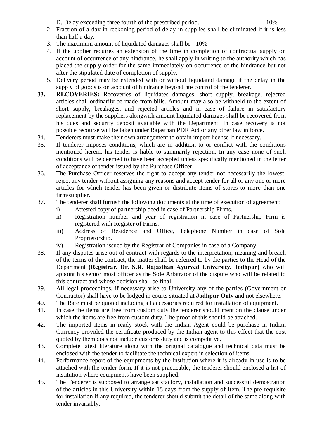D. Delay exceeding three fourth of the prescribed period.  $10\%$ 

- 2. Fraction of a day in reckoning period of delay in supplies shall be eliminated if it is less than half a day.
- 3. The maximum amount of liquidated damages shall be 10%
- 4. If the upplier requires an extension of the time in completion of contractual supply on account of occurrence of any hindrance, he shall apply in writing to the authority which has placed the supply-order for the same immediately on occurrence of the hindrance but not after the stipulated date of completion of supply.
- 5. Delivery period may be extended with or without liquidated damage if the delay in the supply of goods is on account of hindrance beyond hte control of the tenderer.
- **33. RECOVERIES:** Recoveries of liquidates damages, short supply, breakage, rejected articles shall ordinarily be made from bills. Amount may also be withheld to the extent of short supply, breakages, and rejected articles and in ease of failure in satisfactory replacement by the suppliers alongwith amount liquidated damages shall be recovered from his dues and security deposit available with the Department. In case recovery is not possible recourse will be taken under Rajasthan PDR Act or any other law in force.
- 34. Tenderers must make their own arrangement to obtain import license if necessary.
- 35. If tenderer imposes conditions, which are in addition to or conflict with the conditions mentioned herein, his tender is liable to summarily rejection. In any case none of such conditions will be deemed to have been accepted unless specifically mentioned in the letter of acceptance of tender issued by the Purchase Officer.
- 36. The Purchase Officer reserves the right to accept any tender not necessarily the lowest, reject any tender without assigning any reasons and accept tender for all or any one or more articles for which tender has been given or distribute items of stores to more than one firm/supplier.
- 37. The tenderer shall furnish the following documents at the time of execution of agreement:
	- i) Attested copy of partnership deed in case of Partnership Firms.
	- ii) Registration number and year of registration in case of Partnership Firm is registered with Register of Firms.
	- iii) Address of Residence and Office, Telephone Number in case of Sole Proprietorship.
	- iv) Registration issued by the Registrar of Companies in case of a Company.
- 38. If any disputes arise out of contract with regards to the interpretation, meaning and breach of the terms of the contract, the matter shall be referred to by the parties to the Head of the Department **(Registrar, Dr. S.R. Rajasthan Ayurved University, Jodhpur)** who will appoint his senior most officer as the Sole Arbitrator of the dispute who will be related to this contract and whose decision shall be final.
- 39. All legal proceedings, if necessary arise to University any of the parties (Government or Contractor) shall have to be lodged in courts situated at **Jodhpur Only** and not elsewhere.
- 40. The Rate must be quoted including all accessories required for installation of equipment.
- 41. In case the items are free from custom duty the tenderer should mention the clause under which the items are free from custom duty. The proof of this should be attached.
- 42. The imported items in ready stock with the Indian Agent could be purchase in Indian Currency provided the certificate produced by the Indian agent to this effect that the cost quoted by them does not include customs duty and is competitive.
- 43. Complete latest literature along with the original catalogue and technical data must be enclosed with the tender to facilitate the technical expert in selection of items.
- 44. Performance report of the equipments by the institution where it is already in use is to be attached with the tender form. If it is not practicable, the tenderer should enclosed a list of institution where equipments have been supplied.
- 45. The Tenderer is supposed to arrange satisfactory, installation and successful demostration of the articles in this University within 15 days from the supply of Item. The pre-requisite for installation if any required, the tenderer should submit the detail of the same along with tender invariably.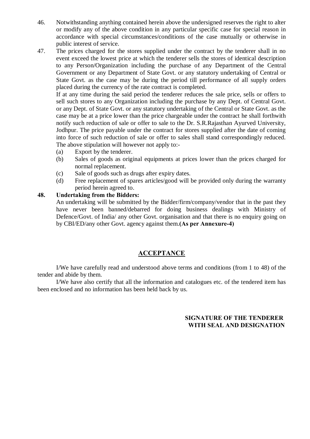- 46. Notwithstanding anything contained herein above the undersigned reserves the right to alter or modify any of the above condition in any particular specific case for special reason in accordance with special circumstances/conditions of the case mutually or otherwise in public interest of service.
- 47. The prices charged for the stores supplied under the contract by the tenderer shall in no event exceed the lowest price at which the tenderer sells the stores of identical description to any Person/Organization including the purchase of any Department of the Central Government or any Department of State Govt. or any statutory undertaking of Central or State Govt. as the case may be during the period till performance of all supply orders placed during the currency of the rate contract is completed.

If at any time during the said period the tenderer reduces the sale price, sells or offers to sell such stores to any Organization including the purchase by any Dept. of Central Govt. or any Dept. of State Govt. or any statutory undertaking of the Central or State Govt. as the case may be at a price lower than the price chargeable under the contract he shall forthwith notify such reduction of sale or offer to sale to the Dr. S.R.Rajasthan Ayurved University, Jodhpur. The price payable under the contract for stores supplied after the date of coming into force of such reduction of sale or offer to sales shall stand correspondingly reduced. The above stipulation will however not apply to:-

- (a) Export by the tenderer.
- (b) Sales of goods as original equipments at prices lower than the prices charged for normal replacement.
- (c) Sale of goods such as drugs after expiry dates.
- (d) Free replacement of spares articles/good will be provided only during the warranty period herein agreed to.

#### **48. Undertaking from the Bidders:**

An undertaking will be submitted by the Bidder/firm/company/vendor that in the past they have never been banned/debarred for doing business dealings with Ministry of Defence/Govt. of India/ any other Govt. organisation and that there is no enquiry going on by CBI/ED/any other Govt. agency against them.**(As per Annexure-4)**

## **ACCEPTANCE**

I/We have carefully read and understood above terms and conditions (from 1 to 48) of the tender and abide by them.

I/We have also certify that all the information and catalogues etc. of the tendered item has been enclosed and no information has been held back by us.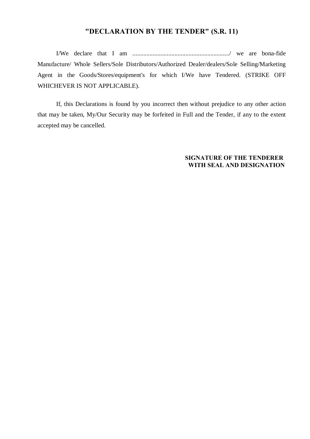## **"DECLARATION BY THE TENDER" (S.R. 11)**

I/We declare that I am ............................................................../ we are bona-fide Manufacture/ Whole Sellers/Sole Distributors/Authorized Dealer/dealers/Sole Selling/Marketing Agent in the Goods/Stores/equipment's for which I/We have Tendered. (STRIKE OFF WHICHEVER IS NOT APPLICABLE).

If, this Declarations is found by you incorrect then without prejudice to any other action that may be taken, My/Our Security may be forfeited in Full and the Tender, if any to the extent accepted may be cancelled.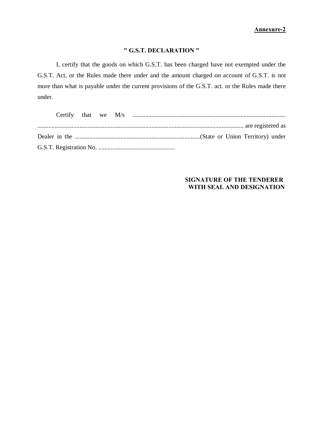## **" G.S.T. DECLARATION "**

I, certify that the goods on which G.S.T. has been charged have not exempted under the G.S.T. Act, or the Rules made there under and the amount charged on account of G.S.T. is not more than what is payable under the current provisions of the G.S.T. act. or the Rules made there under.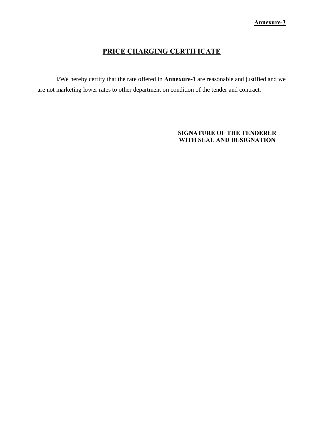# **PRICE CHARGING CERTIFICATE**

I/We hereby certify that the rate offered in **Annexure-1** are reasonable and justified and we are not marketing lower rates to other department on condition of the tender and contract.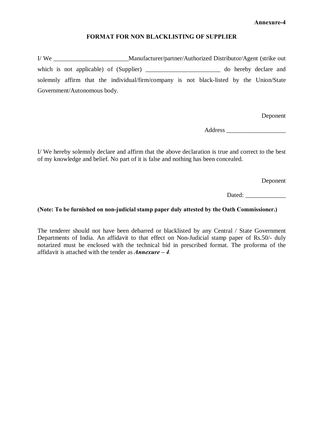#### **FORMAT FOR NON BLACKLISTING OF SUPPLIER**

I/ We \_\_\_\_\_\_\_\_\_\_\_\_\_\_\_\_\_\_\_\_\_\_\_\_Manufacturer/partner/Authorized Distributor/Agent (strike out which is not applicable) of (Supplier) do hereby declare and solemnly affirm that the individual/firm/company is not black-listed by the Union/State Government/Autonomous body.

Deponent

Address \_\_\_\_\_\_\_\_\_\_\_\_\_\_\_\_\_\_\_

I/ We hereby solemnly declare and affirm that the above declaration is true and correct to the best of my knowledge and belief. No part of it is false and nothing has been concealed.

Deponent

Dated:

#### **(Note: To be furnished on non-judicial stamp paper duly attested by the Oath Commissioner.)**

The tenderer should not have been debarred or blacklisted by any Central / State Government Departments of India. An affidavit to that effect on Non-Judicial stamp paper of Rs.50/- duly notarized must be enclosed with the technical bid in prescribed format. The proforma of the affidavit is attached with the tender as *Annexure – 4.*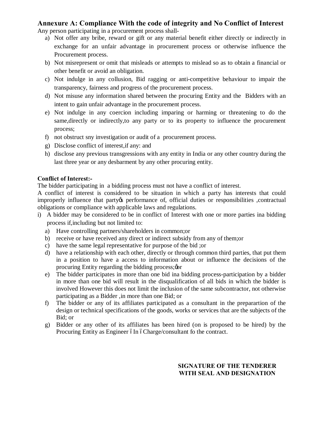## **Annexure A: Compliance With the code of integrity and No Conflict of Interest**

Any person participating in a procurement process shall-

- a) Not offer any bribe, reward or gift or any material benefit either directly or indirectly in exchange for an unfair advantage in procurement process or otherwise influence the Procurement process.
- b) Not misrepresent or omit that misleads or attempts to mislead so as to obtain a financial or other benefit or avoid an obligation.
- c) Not indulge in any collusion, Bid ragging or anti-competitive behaviour to impair the transparency, fairness and progress of the procurement process.
- d) Not misuse any information shared between the procuring Entity and the Bidders with an intent to gain unfair advantage in the procurement process.
- e) Not indulge in any coercion including imparing or harming or threatening to do the same,directly or indirectly,to any party or to its property to influence the procurement process;
- f) not obstruct sny investigation or audit of a procurement process.
- g) Disclose conflict of interest,if any: and
- h) disclose any previous transgressions with any entity in India or any other country during the last three year or any desbarment by any other procuring entity.

#### **Conflict of Interest:-**

The bidder participating in a bidding process must not have a conflict of interest.

A conflict of interest is considered to be situation in which a party has interests that could improperly influence that party operformance of, official duties or responsibilities , contractual obligations or compliance with applicable laws and regulations.

- i) A bidder may be considered to be in conflict of Interest with one or more parties ina bidding process if,including but not limited to:
	- a) Have controlling partners/shareholders in common;or
	- b) receive or have received any direct or indirect subsidy from any of them;or
	- c) have the same legal representative for purpose of the bid ;or
	- d) have a relationship with each other, directly or through common third parties, that put them in a position to have a access to information about or influence the decisions of the procuring Entity regarding the bidding process;  $\phi$
	- e) The bidder participates in more than one bid ina bidding process-participation by a bidder in more than one bid will result in the disqualification of all bids in which the bidder is involved However this does not limit the inclusion of the same subcontractor, not otherwise participating as a Bidder ,in more than one Bid; or
	- f) The bidder or any of its affiliates participated as a consultant in the preparartion of the design or technical specifications of the goods, works or services that are the subjects of the Bid; or
	- g) Bidder or any other of its affiliates has been hired (on is proposed to be hired) by the Procuring Entity as Engineer óIn óCharge/consultant fo the contract.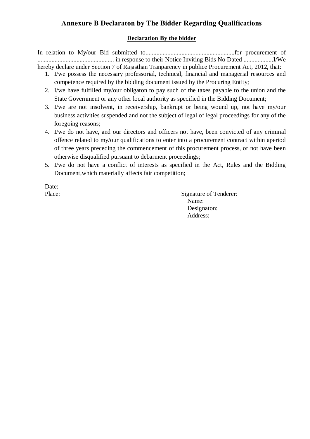## **Annexure B Declaraton by The Bidder Regarding Qualifications**

#### **Declaration By the bidder**

In relation to My/our Bid submitted to.........................................................for procurement of ................................................. in response to their Notice Inviting Bids No Dated ...................I/We hereby declare under Section 7 of Rajasthan Tranparency in publice Procurement Act, 2012, that:

- 1. I/we possess the necessary professorial, technical, financial and managerial resources and competence required by the bidding document issued by the Procuring Entity;
- 2. I/we have fulfilled my/our obligaton to pay such of the taxes payable to the union and the State Government or any other local authority as specified in the Bidding Document;
- 3. I/we are not insolvent, in receivership, bankrupt or being wound up, not have my/our business activities suspended and not the subject of legal of legal proceedings for any of the foregoing reasons;
- 4. I/we do not have, and our directors and officers not have, been convicted of any criminal offence related to my/our qualifications to enter into a procurement contract within aperiod of three years preceding the commencement of this procurement process, or not have been otherwise disqualified pursuant to debarment proceedings;
- 5. I/we do not have a conflict of interests as specified in the Act, Rules and the Bidding Document,which materially affects fair competition;

Date:

Place: Signature of Tenderer: Name: Designaton: Address: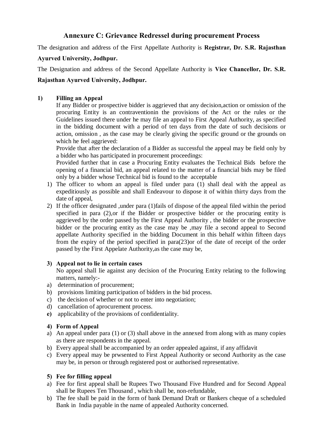## **Annexure C: Grievance Redressel during procurement Process**

The designation and address of the First Appellate Authority is **Registrar, Dr. S.R. Rajasthan** 

#### **Ayurved University, Jodhpur.**

The Designation and address of the Second Appellate Authority is **Vice Chancellor, Dr. S.R.** 

#### **Rajasthan Ayurved University, Jodhpur.**

#### **1) Filling an Appeal**

If any Bidder or prospective bidder is aggrieved that any decision,action or omission of the procuring Entity is an contraventionin the provisions of the Act or the rules or the Guidelines issued there under he may file an appeal to First Appeal Authority, as specified in the bidding document with a period of ten days from the date of such decisions or action, omission , as the case may be clearly giving the specific ground or the grounds on which he feel aggrieved:

Provide that after the declaration of a Bidder as successful the appeal may be field only by a bidder who has participated in procurement proceedings:

Provided further that in case a Procuring Entity evaluates the Technical Bids before the opening of a financial bid, an appeal related to the matter of a financial bids may be filed only by a bidder whose Technical bid is found to the acceptable

- 1) The officer to whom an appeal is filed under para (1) shall deal with the appeal as expeditiously as possible and shall Endeavour to dispose it of within thirty days from the date of appeal.
- 2) If the officer designated ,under para (1)fails of dispose of the appeal filed within the period specified in para (2),or if the Bidder or prospective bidder or the procuring entity is aggrieved by the order passed by the First Appeal Authority , the bidder or the prospective bidder or the procuring entity as the case may be ,may file a second appeal to Second appellate Authority specified in the bidding Document in this behalf within fifteen days from the expiry of the period specified in para(23)or of the date of receipt of the order passed by the First Appelate Authority,as the case may be,

#### **3) Appeal not to lie in certain cases**

No appeal shall lie against any decision of the Procuring Entity relating to the following matters, namely:-

- a) determination of procurement;
- b) provisions limiting participation of bidders in the bid process.
- c) the decision of whether or not to enter into negotiation;
- d) cancellation of aprocurement process.
- **e)** applicability of the provisions of confidentiality.

#### **4) Form of Appeal**

- a) An appeal under para (1) or (3) shall above in the annexed from along with as many copies as there are respondents in the appeal.
- b) Every appeal shall be accompanied by an order appealed against, if any affidavit
- c) Every appeal may be prwsented to First Appeal Authority or second Authority as the case may be, in person or through registered post or authorised representative.

#### **5) Fee for filling appeal**

- a) Fee for first appeal shall be Rupees Two Thousand Five Hundred and for Second Appeal shall be Rupees Ten Thousand , which shall be, non-refundable,
- b) The fee shall be paid in the form of bank Demand Draft or Bankers cheque of a scheduled Bank in India payable in the name of appealed Authority concerned.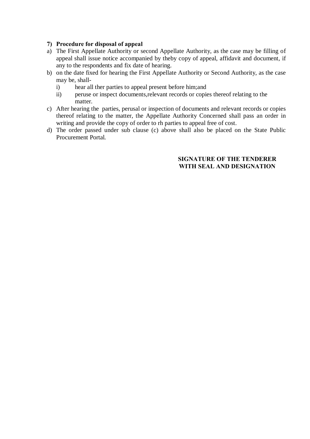#### **7) Procedure for disposal of appeal**

- a) The First Appellate Authority or second Appellate Authority, as the case may be filling of appeal shall issue notice accompanied by theby copy of appeal, affidavit and document, if any to the respondents and fix date of hearing.
- b) on the date fixed for hearing the First Appellate Authority or Second Authority, as the case may be, shall
	- i) hear all ther parties to appeal present before him;and
	- ii) peruse or inspect documents,relevant records or copies thereof relating to the matter.
- c) After hearing the parties, perusal or inspection of documents and relevant records or copies thereof relating to the matter, the Appellate Authority Concerned shall pass an order in writing and provide the copy of order to rh parties to appeal free of cost.
- d) The order passed under sub clause (c) above shall also be placed on the State Public Procurement Portal.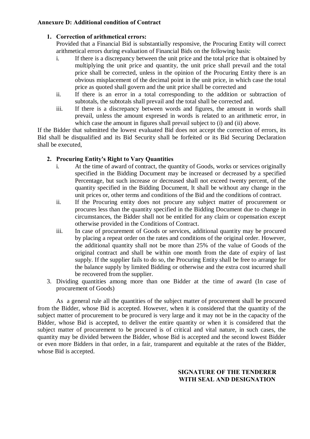#### **Annexure D: Additional condition of Contract**

#### **1. Correction of arithmetical errors:**

Provided that a Financial Bid is substantially responsive, the Procuring Entity will correct arithmetical errors during evaluation of Financial Bids on the following basis:

- i. If there is a discrepancy between the unit price and the total price that is obtained by multiplying the unit price and quantity, the unit price shall prevail and the total price shall be corrected, unless in the opinion of the Procuring Entity there is an obvious misplacement of the decimal point in the unit price, in which case the total price as quoted shall govern and the unit price shall be corrected and
- ii. If there is an error in a total corresponding to the addition or subtraction of subtotals, the subtotals shall prevail and the total shall be corrected and.
- iii. If there is a discrepancy between words and figures, the amount in words shall prevail, unless the amount expresed in words is related to an arithmetic error, in which case the amount in figures shall prevail subject to (i) and (ii) above.

If the Bidder that submitted the lowest evaluated Bid does not accept the correction of errors, its Bid shall be disqualified and its Bid Security shall be forfeited or its Bid Securing Declaration shall be executed,

## **2. Procuring Entity's Right to Vary Quantities**

- i. At the time of award of contract, the quantity of Goods, works or services originally specified in the Bidding Document may be increased or decreased by a specified Percentage, but such increase or decreased shall not exceed twenty percent, of the quantity specified in the Bidding Document, It shall be without any change in the unit prices or, other terms and conditions of the Bid and the conditions of contract.
- ii. If the Procuring entity does not procure any subject matter of procurement or procures less than the quantity specified in the Bidding Document due to change in circumstances, the Bidder shall not be entitled for any claim or copensation except otherwise provided in the Conditions of Contract.
- iii. In case of procurement of Goods or services, additional quantity may be procured by placing a repeat order on the rates and conditions of the original order. However, the additional quantity shall not be more than 25% of the value of Goods of the original contract and shall be within one month from the date of expiry of last supply. If the supplier fails to do so, the Procuring Entity shall be free to arrange for the balance supply by limited Bidding or otherwise and the extra cost incurred shall be recovered from the supplier.
- 3. Dividing quantities among more than one Bidder at the time of award (In case of procurement of Goods)

As a general rule all the quantities of the subject matter of procurement shall be procured from the Bidder, whose Bid is accepted. However, when it is considered that the quantity of the subject matter of procurement to be procured is very large and it may not be in the capacity of the Bidder, whose Bid is accepted, to deliver the entire quantity or when it is considered that the subject matter of procurement to be procured is of critical and vital nature, in such cases, the quantity may be divided between the Bidder, whose Bid is accepted and the second lowest Bidder or even more Bidders in that order, in a fair, transparent and equitable at the rates of the Bidder, whose Bid is accepted.